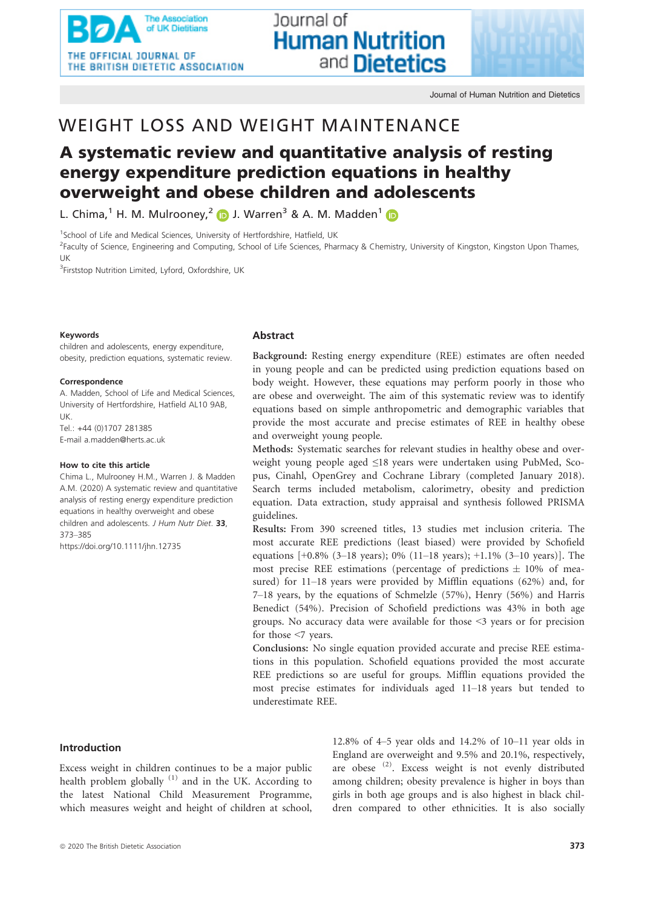Journal of Human Nutrition and Dietetics

# WEIGHT LOSS AND WEIGHT MAINTENANCE

# A systematic review and quantitative analysis of resting energy expenditure prediction equations in healthy overweight and obese children and adolescents

lournal of

**Human Nutrition** 

and **Dietetics** 

L. Chima,<sup>1</sup> H. M. Mulrooney,<sup>2</sup> D J. Warren<sup>3</sup> & A. M. Madden<sup>1</sup> D

<sup>1</sup>School of Life and Medical Sciences, University of Hertfordshire, Hatfield, UK

<sup>2</sup>Faculty of Science, Engineering and Computing, School of Life Sciences, Pharmacy & Chemistry, University of Kingston, Kingston Upon Thames, UK

<sup>3</sup>Firststop Nutrition Limited, Lyford, Oxfordshire, UK

#### Keywords

children and adolescents, energy expenditure, obesity, prediction equations, systematic review.

#### Correspondence

A. Madden, School of Life and Medical Sciences, University of Hertfordshire, Hatfield AL10 9AB, UK. Tel.: +44 (0)1707 281385 E-mail [a.madden@herts.ac.uk](mailto:)

#### How to cite this article

Chima L., Mulrooney H.M., Warren J. & Madden A.M. (2020) A systematic review and quantitative analysis of resting energy expenditure prediction equations in healthy overweight and obese children and adolescents. J Hum Nutr Diet. <sup>33</sup>, 373–385 <https://doi.org/10.1111/jhn.12735>

#### Abstract

Background: Resting energy expenditure (REE) estimates are often needed in young people and can be predicted using prediction equations based on body weight. However, these equations may perform poorly in those who are obese and overweight. The aim of this systematic review was to identify equations based on simple anthropometric and demographic variables that provide the most accurate and precise estimates of REE in healthy obese and overweight young people.

Methods: Systematic searches for relevant studies in healthy obese and overweight young people aged ≤18 years were undertaken using PubMed, Scopus, Cinahl, OpenGrey and Cochrane Library (completed January 2018). Search terms included metabolism, calorimetry, obesity and prediction equation. Data extraction, study appraisal and synthesis followed PRISMA guidelines.

Results: From 390 screened titles, 13 studies met inclusion criteria. The most accurate REE predictions (least biased) were provided by Schofield equations [+0.8% (3–18 years); 0% (11–18 years); +1.1% (3–10 years)]. The most precise REE estimations (percentage of predictions  $\pm$  10% of measured) for 11–18 years were provided by Mifflin equations (62%) and, for 7–18 years, by the equations of Schmelzle (57%), Henry (56%) and Harris Benedict (54%). Precision of Schofield predictions was 43% in both age groups. No accuracy data were available for those <3 years or for precision for those <7 years.

Conclusions: No single equation provided accurate and precise REE estimations in this population. Schofield equations provided the most accurate REE predictions so are useful for groups. Mifflin equations provided the most precise estimates for individuals aged 11–18 years but tended to underestimate REE.

# Introduction

Excess weight in children continues to be a major public health problem globally <sup>(1)</sup> and in the UK. According to the latest National Child Measurement Programme, which measures weight and height of children at school,

12.8% of 4–5 year olds and 14.2% of 10–11 year olds in England are overweight and 9.5% and 20.1%, respectively, are obese (2). Excess weight is not evenly distributed among children; obesity prevalence is higher in boys than girls in both age groups and is also highest in black children compared to other ethnicities. It is also socially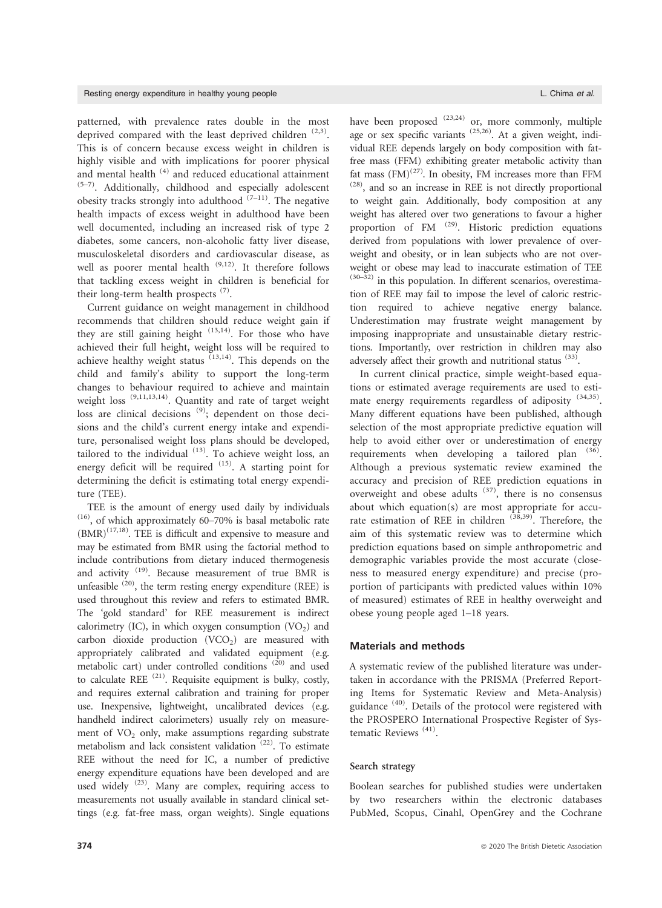patterned, with prevalence rates double in the most deprived compared with the least deprived children  $(2,3)$ . This is of concern because excess weight in children is highly visible and with implications for poorer physical and mental health (4) and reduced educational attainment  $(5-7)$ . Additionally, childhood and especially adolescent obesity tracks strongly into adulthood  $(7-11)$ . The negative health impacts of excess weight in adulthood have been well documented, including an increased risk of type 2 diabetes, some cancers, non-alcoholic fatty liver disease, musculoskeletal disorders and cardiovascular disease, as well as poorer mental health  $(9,12)$ . It therefore follows that tackling excess weight in children is beneficial for their long-term health prospects (7).

Current guidance on weight management in childhood recommends that children should reduce weight gain if they are still gaining height  $(13,14)$ . For those who have achieved their full height, weight loss will be required to achieve healthy weight status (13,14). This depends on the child and family's ability to support the long-term changes to behaviour required to achieve and maintain weight loss (9,11,13,14). Quantity and rate of target weight loss are clinical decisions<sup>(9)</sup>; dependent on those decisions and the child's current energy intake and expenditure, personalised weight loss plans should be developed, tailored to the individual  $(13)$ . To achieve weight loss, an energy deficit will be required <sup>(15)</sup>. A starting point for determining the deficit is estimating total energy expenditure (TEE).

TEE is the amount of energy used daily by individuals  $(16)$ , of which approximately 60-70% is basal metabolic rate  $(BMR)^{(17,18)}$ . TEE is difficult and expensive to measure and may be estimated from BMR using the factorial method to include contributions from dietary induced thermogenesis and activity <sup>(19)</sup>. Because measurement of true BMR is unfeasible  $^{(20)}$ , the term resting energy expenditure (REE) is used throughout this review and refers to estimated BMR. The 'gold standard' for REE measurement is indirect calorimetry (IC), in which oxygen consumption  $(VO<sub>2</sub>)$  and carbon dioxide production  $(VCO<sub>2</sub>)$  are measured with appropriately calibrated and validated equipment (e.g. metabolic cart) under controlled conditions (20) and used to calculate REE (21). Requisite equipment is bulky, costly, and requires external calibration and training for proper use. Inexpensive, lightweight, uncalibrated devices (e.g. handheld indirect calorimeters) usually rely on measurement of  $VO<sub>2</sub>$  only, make assumptions regarding substrate metabolism and lack consistent validation <sup>(22)</sup>. To estimate REE without the need for IC, a number of predictive energy expenditure equations have been developed and are used widely  $(23)$ . Many are complex, requiring access to measurements not usually available in standard clinical settings (e.g. fat-free mass, organ weights). Single equations

have been proposed <sup>(23,24)</sup> or, more commonly, multiple age or sex specific variants (25,26). At a given weight, individual REE depends largely on body composition with fatfree mass (FFM) exhibiting greater metabolic activity than fat mass  $(FM)^{(27)}$ . In obesity, FM increases more than FFM (28), and so an increase in REE is not directly proportional to weight gain. Additionally, body composition at any weight has altered over two generations to favour a higher proportion of FM  $(29)$ . Historic prediction equations derived from populations with lower prevalence of overweight and obesity, or in lean subjects who are not overweight or obese may lead to inaccurate estimation of TEE  $(30-32)$  in this population. In different scenarios, overestimation of REE may fail to impose the level of caloric restriction required to achieve negative energy balance. Underestimation may frustrate weight management by imposing inappropriate and unsustainable dietary restrictions. Importantly, over restriction in children may also adversely affect their growth and nutritional status  $(33)$ .

In current clinical practice, simple weight-based equations or estimated average requirements are used to estimate energy requirements regardless of adiposity <sup>(34,35)</sup>. Many different equations have been published, although selection of the most appropriate predictive equation will help to avoid either over or underestimation of energy requirements when developing a tailored plan <sup>(36)</sup>. Although a previous systematic review examined the accuracy and precision of REE prediction equations in overweight and obese adults  $(37)$ , there is no consensus about which equation(s) are most appropriate for accurate estimation of REE in children<sup>(38,39)</sup>. Therefore, the aim of this systematic review was to determine which prediction equations based on simple anthropometric and demographic variables provide the most accurate (closeness to measured energy expenditure) and precise (proportion of participants with predicted values within 10% of measured) estimates of REE in healthy overweight and obese young people aged 1–18 years.

#### Materials and methods

A systematic review of the published literature was undertaken in accordance with the PRISMA (Preferred Reporting Items for Systematic Review and Meta-Analysis) guidance<sup>(40)</sup>. Details of the protocol were registered with the PROSPERO International Prospective Register of Systematic Reviews (41).

## Search strategy

Boolean searches for published studies were undertaken by two researchers within the electronic databases PubMed, Scopus, Cinahl, OpenGrey and the Cochrane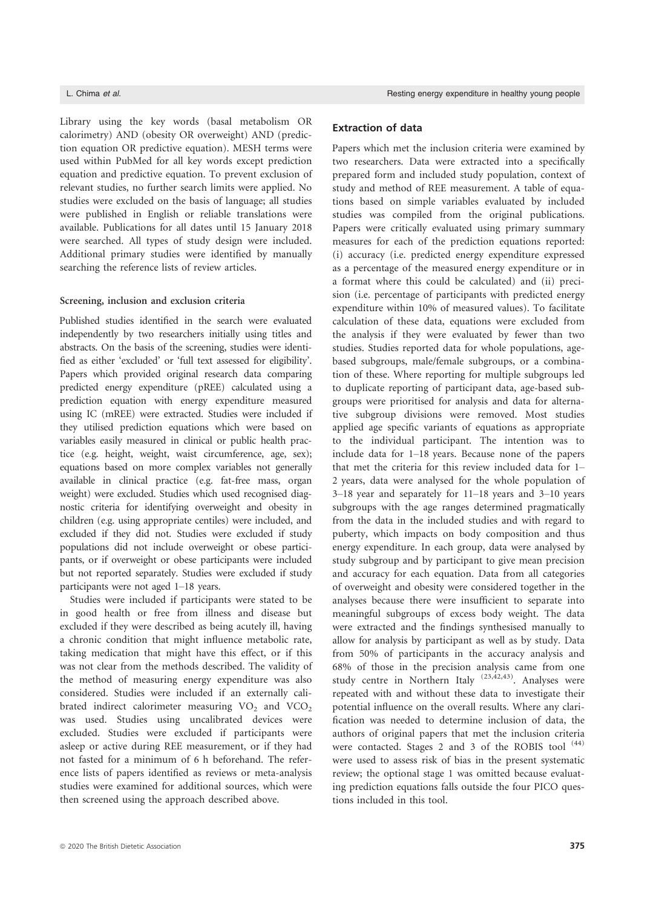Library using the key words (basal metabolism OR calorimetry) AND (obesity OR overweight) AND (prediction equation OR predictive equation). MESH terms were used within PubMed for all key words except prediction equation and predictive equation. To prevent exclusion of relevant studies, no further search limits were applied. No studies were excluded on the basis of language; all studies were published in English or reliable translations were available. Publications for all dates until 15 January 2018 were searched. All types of study design were included. Additional primary studies were identified by manually searching the reference lists of review articles.

# Screening, inclusion and exclusion criteria

Published studies identified in the search were evaluated independently by two researchers initially using titles and abstracts. On the basis of the screening, studies were identified as either 'excluded' or 'full text assessed for eligibility'. Papers which provided original research data comparing predicted energy expenditure (pREE) calculated using a prediction equation with energy expenditure measured using IC (mREE) were extracted. Studies were included if they utilised prediction equations which were based on variables easily measured in clinical or public health practice (e.g. height, weight, waist circumference, age, sex); equations based on more complex variables not generally available in clinical practice (e.g. fat-free mass, organ weight) were excluded. Studies which used recognised diagnostic criteria for identifying overweight and obesity in children (e.g. using appropriate centiles) were included, and excluded if they did not. Studies were excluded if study populations did not include overweight or obese participants, or if overweight or obese participants were included but not reported separately. Studies were excluded if study participants were not aged 1–18 years.

Studies were included if participants were stated to be in good health or free from illness and disease but excluded if they were described as being acutely ill, having a chronic condition that might influence metabolic rate, taking medication that might have this effect, or if this was not clear from the methods described. The validity of the method of measuring energy expenditure was also considered. Studies were included if an externally calibrated indirect calorimeter measuring  $VO<sub>2</sub>$  and  $VCO<sub>2</sub>$ was used. Studies using uncalibrated devices were excluded. Studies were excluded if participants were asleep or active during REE measurement, or if they had not fasted for a minimum of 6 h beforehand. The reference lists of papers identified as reviews or meta-analysis studies were examined for additional sources, which were then screened using the approach described above.

# Extraction of data

Papers which met the inclusion criteria were examined by two researchers. Data were extracted into a specifically prepared form and included study population, context of study and method of REE measurement. A table of equations based on simple variables evaluated by included studies was compiled from the original publications. Papers were critically evaluated using primary summary measures for each of the prediction equations reported: (i) accuracy (i.e. predicted energy expenditure expressed as a percentage of the measured energy expenditure or in a format where this could be calculated) and (ii) precision (i.e. percentage of participants with predicted energy expenditure within 10% of measured values). To facilitate calculation of these data, equations were excluded from the analysis if they were evaluated by fewer than two studies. Studies reported data for whole populations, agebased subgroups, male/female subgroups, or a combination of these. Where reporting for multiple subgroups led to duplicate reporting of participant data, age-based subgroups were prioritised for analysis and data for alternative subgroup divisions were removed. Most studies applied age specific variants of equations as appropriate to the individual participant. The intention was to include data for 1–18 years. Because none of the papers that met the criteria for this review included data for 1– 2 years, data were analysed for the whole population of 3–18 year and separately for 11–18 years and 3–10 years subgroups with the age ranges determined pragmatically from the data in the included studies and with regard to puberty, which impacts on body composition and thus energy expenditure. In each group, data were analysed by study subgroup and by participant to give mean precision and accuracy for each equation. Data from all categories of overweight and obesity were considered together in the analyses because there were insufficient to separate into meaningful subgroups of excess body weight. The data were extracted and the findings synthesised manually to allow for analysis by participant as well as by study. Data from 50% of participants in the accuracy analysis and 68% of those in the precision analysis came from one study centre in Northern Italy <sup>(23,42,43)</sup>. Analyses were repeated with and without these data to investigate their potential influence on the overall results. Where any clarification was needed to determine inclusion of data, the authors of original papers that met the inclusion criteria were contacted. Stages 2 and 3 of the ROBIS tool  $(44)$ were used to assess risk of bias in the present systematic review; the optional stage 1 was omitted because evaluating prediction equations falls outside the four PICO questions included in this tool.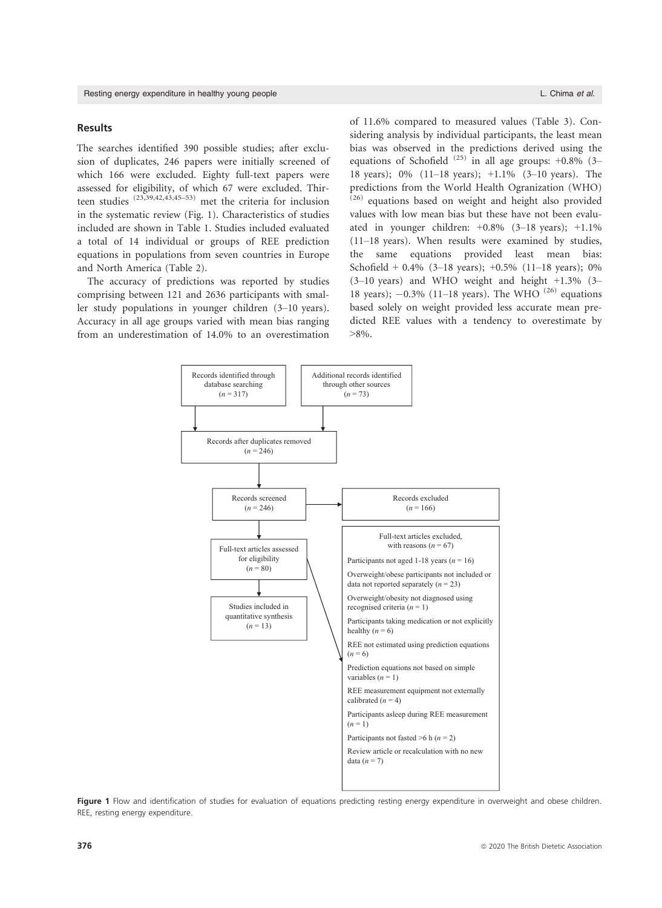### Results

The searches identified 390 possible studies; after exclusion of duplicates, 246 papers were initially screened of which 166 were excluded. Eighty full-text papers were assessed for eligibility, of which 67 were excluded. Thirteen studies (23,39,42,43,45–53) met the criteria for inclusion in the systematic review (Fig. 1). Characteristics of studies included are shown in Table 1. Studies included evaluated a total of 14 individual or groups of REE prediction equations in populations from seven countries in Europe and North America (Table 2).

The accuracy of predictions was reported by studies comprising between 121 and 2636 participants with smaller study populations in younger children (3–10 years). Accuracy in all age groups varied with mean bias ranging from an underestimation of 14.0% to an overestimation

of 11.6% compared to measured values (Table 3). Considering analysis by individual participants, the least mean bias was observed in the predictions derived using the equations of Schofield  $^{(25)}$  in all age groups: +0.8% (3– 18 years); 0% (11–18 years); +1.1% (3–10 years). The predictions from the World Health Ogranization (WHO)  $(26)$  equations based on weight and height also provided values with low mean bias but these have not been evaluated in younger children:  $+0.8\%$  (3-18 years);  $+1.1\%$ (11–18 years). When results were examined by studies, the same equations provided least mean bias: Schofield + 0.4% (3–18 years); +0.5% (11–18 years); 0% (3–10 years) and WHO weight and height +1.3% (3– 18 years);  $-0.3\%$  (11-18 years). The WHO <sup>(26)</sup> equations based solely on weight provided less accurate mean predicted REE values with a tendency to overestimate by  $> 80%$ 



Figure 1 Flow and identification of studies for evaluation of equations predicting resting energy expenditure in overweight and obese children. REE, resting energy expenditure.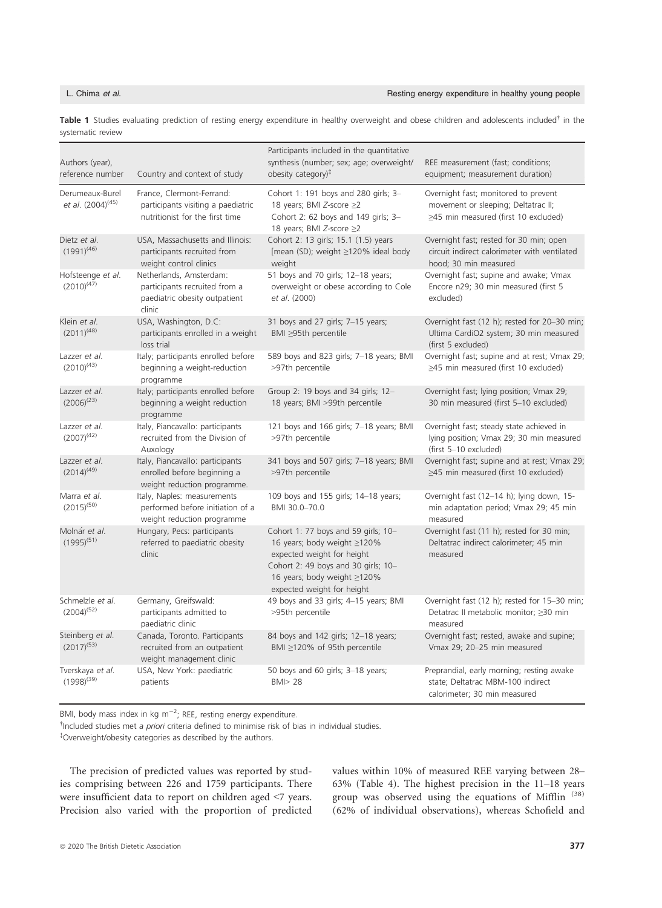Table 1 Studies evaluating prediction of resting energy expenditure in healthy overweight and obese children and adolescents included<sup>†</sup> in the systematic review

| Authors (year),<br>reference number              | Country and context of study                                                                        | Participants included in the quantitative<br>synthesis (number; sex; age; overweight/<br>obesity category) <sup>‡</sup>                                                                              | REE measurement (fast; conditions;<br>equipment; measurement duration)                                                    |
|--------------------------------------------------|-----------------------------------------------------------------------------------------------------|------------------------------------------------------------------------------------------------------------------------------------------------------------------------------------------------------|---------------------------------------------------------------------------------------------------------------------------|
| Derumeaux-Burel<br>et al. (2004) <sup>(45)</sup> | France, Clermont-Ferrand:<br>participants visiting a paediatric<br>nutritionist for the first time  | Cohort 1: 191 boys and 280 girls; 3-<br>18 years; BMI Z-score ≥2<br>Cohort 2: 62 boys and 149 girls; 3-<br>18 years; BMI Z-score ≥2                                                                  | Overnight fast; monitored to prevent<br>movement or sleeping; Deltatrac II;<br>$\geq$ 45 min measured (first 10 excluded) |
| Dietz et al.<br>$(1991)^{(46)}$                  | USA, Massachusetts and Illinois:<br>participants recruited from<br>weight control clinics           | Cohort 2: 13 girls; 15.1 (1.5) years<br>[mean (SD); weight ≥120% ideal body<br>weight                                                                                                                | Overnight fast; rested for 30 min; open<br>circuit indirect calorimeter with ventilated<br>hood; 30 min measured          |
| Hofsteenge et al.<br>$(2010)^{(47)}$             | Netherlands, Amsterdam:<br>participants recruited from a<br>paediatric obesity outpatient<br>clinic | 51 boys and 70 girls; 12-18 years;<br>overweight or obese according to Cole<br>et al. (2000)                                                                                                         | Overnight fast; supine and awake; Vmax<br>Encore n29; 30 min measured (first 5<br>excluded)                               |
| Klein et al.<br>$(2011)^{(48)}$                  | USA, Washington, D.C:<br>participants enrolled in a weight<br>loss trial                            | 31 boys and 27 girls; 7-15 years;<br>BMI ≥95th percentile                                                                                                                                            | Overnight fast (12 h); rested for 20-30 min;<br>Ultima CardiO2 system; 30 min measured<br>(first 5 excluded)              |
| Lazzer et al.<br>$(2010)^{(43)}$                 | Italy; participants enrolled before<br>beginning a weight-reduction<br>programme                    | 589 boys and 823 girls; 7-18 years; BMI<br>>97th percentile                                                                                                                                          | Overnight fast; supine and at rest; Vmax 29;<br>≥45 min measured (first 10 excluded)                                      |
| Lazzer et al.<br>$(2006)^{(23)}$                 | Italy; participants enrolled before<br>beginning a weight reduction<br>programme                    | Group 2: 19 boys and 34 girls; 12-<br>18 years; BMI >99th percentile                                                                                                                                 | Overnight fast; lying position; Vmax 29;<br>30 min measured (first 5-10 excluded)                                         |
| Lazzer et al.<br>$(2007)^{(42)}$                 | Italy, Piancavallo: participants<br>recruited from the Division of<br>Auxology                      | 121 boys and 166 girls; 7-18 years; BMI<br>>97th percentile                                                                                                                                          | Overnight fast; steady state achieved in<br>lying position; Vmax 29; 30 min measured<br>(first 5-10 excluded)             |
| Lazzer et al.<br>$(2014)^{(49)}$                 | Italy, Piancavallo: participants<br>enrolled before beginning a<br>weight reduction programme.      | 341 boys and 507 girls; 7-18 years; BMI<br>>97th percentile                                                                                                                                          | Overnight fast; supine and at rest; Vmax 29;<br>$\geq$ 45 min measured (first 10 excluded)                                |
| Marra et al.<br>$(2015)^{(50)}$                  | Italy, Naples: measurements<br>performed before initiation of a<br>weight reduction programme       | 109 boys and 155 girls; 14-18 years;<br>BMI 30.0-70.0                                                                                                                                                | Overnight fast (12-14 h); lying down, 15-<br>min adaptation period; Vmax 29; 45 min<br>measured                           |
| Molnár et al.<br>$(1995)^{(51)}$                 | Hungary, Pecs: participants<br>referred to paediatric obesity<br>clinic                             | Cohort 1: 77 boys and 59 girls; 10-<br>16 years; body weight ≥120%<br>expected weight for height<br>Cohort 2: 49 boys and 30 girls; 10-<br>16 years; body weight ≥120%<br>expected weight for height | Overnight fast (11 h); rested for 30 min;<br>Deltatrac indirect calorimeter; 45 min<br>measured                           |
| Schmelzle et al.<br>$(2004)^{(52)}$              | Germany, Greifswald:<br>participants admitted to<br>paediatric clinic                               | 49 boys and 33 girls; 4-15 years; BMI<br>>95th percentile                                                                                                                                            | Overnight fast (12 h); rested for 15-30 min;<br>Detatrac II metabolic monitor; ≥30 min<br>measured                        |
| Steinberg et al.<br>$(2017)^{(53)}$              | Canada, Toronto. Participants<br>recruited from an outpatient<br>weight management clinic           | 84 boys and 142 girls; 12-18 years;<br>BMI ≥120% of 95th percentile                                                                                                                                  | Overnight fast; rested, awake and supine;<br>Vmax 29; 20-25 min measured                                                  |
| Tverskaya et al.<br>$(1998)^{(39)}$              | USA, New York: paediatric<br>patients                                                               | 50 boys and 60 girls; 3-18 years;<br>$BM$ $> 28$                                                                                                                                                     | Preprandial, early morning; resting awake<br>state; Deltatrac MBM-100 indirect<br>calorimeter; 30 min measured            |

BMI, body mass index in kg  $m^{-2}$ ; REE, resting energy expenditure.

<sup>†</sup>Included studies met a priori criteria defined to minimise risk of bias in individual studies.<br>IQuan vaiabt/abority estaggies as described by the authors

‡ Overweight/obesity categories as described by the authors.

The precision of predicted values was reported by studies comprising between 226 and 1759 participants. There were insufficient data to report on children aged <7 years. Precision also varied with the proportion of predicted values within 10% of measured REE varying between 28– 63% (Table 4). The highest precision in the 11–18 years group was observed using the equations of Mifflin  $(38)$ (62% of individual observations), whereas Schofield and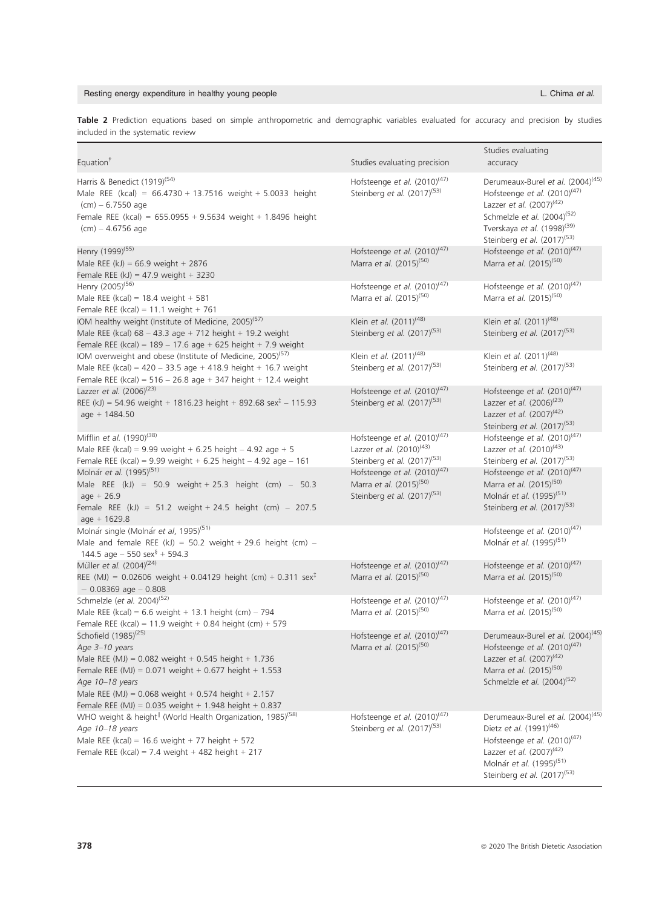# Resting energy expenditure in healthy young people and the contract of the contract of the contract of the Chima et al.

Table 2 Prediction equations based on simple anthropometric and demographic variables evaluated for accuracy and precision by studies included in the systematic review

| Equation <sup>†</sup>                                                                                                                                                                                                                                                                                         | Studies evaluating precision                                                                                                | Studies evaluating<br>accuracy                                                                                                                                                                                                                              |
|---------------------------------------------------------------------------------------------------------------------------------------------------------------------------------------------------------------------------------------------------------------------------------------------------------------|-----------------------------------------------------------------------------------------------------------------------------|-------------------------------------------------------------------------------------------------------------------------------------------------------------------------------------------------------------------------------------------------------------|
| Harris & Benedict (1919) <sup>(54)</sup><br>Male REE (kcal) = $66.4730 + 13.7516$ weight + 5.0033 height<br>$(cm) - 6.7550$ age<br>Female REE (kcal) = $655.0955 + 9.5634$ weight + 1.8496 height<br>$(cm) - 4.6756$ age                                                                                      | Hofsteenge et al. $(2010)^{(47)}$<br>Steinberg et al. $(2017)^{(53)}$                                                       | Derumeaux-Burel et al. (2004) <sup>(45)</sup><br>Hofsteenge et al. (2010) <sup>(47)</sup><br>Lazzer et al. $(2007)^{(42)}$<br>Schmelzle et al. (2004) <sup>(52)</sup><br>Tverskaya et al. (1998) <sup>(39)</sup><br>Steinberg et al. (2017) <sup>(53)</sup> |
| Henry (1999) <sup>(55)</sup><br>Male REE (kJ) = $66.9$ weight + 2876<br>Female REE (kJ) = 47.9 weight + 3230                                                                                                                                                                                                  | Hofsteenge et al. (2010) <sup>(47)</sup><br>Marra et al. (2015) <sup>(50)</sup>                                             | Hofsteenge et al. (2010) <sup>(47)</sup><br>Marra et al. (2015) <sup>(50)</sup>                                                                                                                                                                             |
| Henry (2005) <sup>(56)</sup><br>Male REE (kcal) = $18.4$ weight + 581<br>Female REE (kcal) = $11.1$ weight + 761                                                                                                                                                                                              | Hofsteenge et al. (2010) <sup>(47)</sup><br>Marra et al. (2015) <sup>(50)</sup>                                             | Hofsteenge et al. (2010) <sup>(47)</sup><br>Marra et al. (2015) <sup>(50)</sup>                                                                                                                                                                             |
| IOM healthy weight (Institute of Medicine, 2005) <sup>(57)</sup><br>Male REE (kcal) $68 - 43.3$ age + 712 height + 19.2 weight<br>Female REE (kcal) = $189 - 17.6$ age + 625 height + 7.9 weight                                                                                                              | Klein et al. (2011) <sup>(48)</sup><br>Steinberg et al. $(2017)^{(53)}$                                                     | Klein et al. (2011) <sup>(48)</sup><br>Steinberg et al. (2017) <sup>(53)</sup>                                                                                                                                                                              |
| IOM overweight and obese (Institute of Medicine, 2005) <sup>(57)</sup><br>Male REE (kcal) = $420 - 33.5$ age + $418.9$ height + 16.7 weight<br>Female REE (kcal) = $516 - 26.8$ age + 347 height + 12.4 weight                                                                                                | Klein et al. (2011) <sup>(48)</sup><br>Steinberg et al. $(2017)^{(53)}$                                                     | Klein et al. (2011) <sup>(48)</sup><br>Steinberg et al. $(2017)^{(53)}$                                                                                                                                                                                     |
| Lazzer et al. $(2006)^{(23)}$<br>REE (kJ) = 54.96 weight + 1816.23 height + 892.68 sex $t^{\ddagger}$ – 115.93<br>age + 1484.50                                                                                                                                                                               | Hofsteenge et al. (2010) <sup>(47)</sup><br>Steinberg et al. (2017) <sup>(53)</sup>                                         | Hofsteenge et al. (2010) <sup>(47)</sup><br>Lazzer et al. $(2006)^{(23)}$<br>Lazzer et al. $(2007)^{(42)}$<br>Steinberg et al. (2017) <sup>(53)</sup>                                                                                                       |
| Mifflin et al. (1990) <sup>(38)</sup><br>Male REE (kcal) = 9.99 weight + 6.25 height - 4.92 age + 5<br>Female REE (kcal) = $9.99$ weight + $6.25$ height - $4.92$ age - $161$                                                                                                                                 | Hofsteenge et al. (2010) <sup>(47)</sup><br>Lazzer et al. (2010) <sup>(43)</sup><br>Steinberg et al. (2017) <sup>(53)</sup> | Hofsteenge et al. (2010) <sup>(47)</sup><br>Lazzer et al. (2010) <sup>(43)</sup><br>Steinberg et al. (2017) <sup>(53)</sup>                                                                                                                                 |
| Molnár et al. (1995) <sup>(51)</sup><br>Male REE (kJ) = 50.9 weight + 25.3 height (cm) - 50.3<br>$age + 26.9$<br>Female REE (kJ) = $51.2$ weight + 24.5 height (cm) - 207.5<br>$age + 1629.8$                                                                                                                 | Hofsteenge et al. (2010) <sup>(47)</sup><br>Marra et al. (2015) <sup>(50)</sup><br>Steinberg et al. (2017) <sup>(53)</sup>  | Hofsteenge et al. (2010) <sup>(47)</sup><br>Marra et al. (2015) <sup>(50)</sup><br>Molnár et al. (1995) <sup>(51)</sup><br>Steinberg et al. (2017) <sup>(53)</sup>                                                                                          |
| Molnár single (Molnár et al, 1995) <sup>(51)</sup><br>Male and female REE (kJ) = $50.2$ weight + 29.6 height (cm) -<br>144.5 age $-$ 550 sex <sup>§</sup> + 594.3                                                                                                                                             |                                                                                                                             | Hofsteenge et al. (2010) <sup>(47)</sup><br>Molnár et al. (1995) <sup>(51)</sup>                                                                                                                                                                            |
| Müller et al. (2004) <sup>(24)</sup><br>REE (MJ) = 0.02606 weight + 0.04129 height (cm) + 0.311 sex <sup>‡</sup><br>$-0.08369$ age $-0.808$                                                                                                                                                                   | Hofsteenge et al. $(2010)^{(47)}$<br>Marra et al. (2015) <sup>(50)</sup>                                                    | Hofsteenge et al. (2010) <sup>(47)</sup><br>Marra et al. (2015) <sup>(50)</sup>                                                                                                                                                                             |
| Schmelzle (et al. 2004) <sup>(52)</sup><br>Male REE (kcal) = $6.6$ weight + 13.1 height (cm) - 794<br>Female REE (kcal) = 11.9 weight + 0.84 height (cm) + 579                                                                                                                                                | Hofsteenge et al. (2010) <sup>(47)</sup><br>Marra et al. (2015) <sup>(50)</sup>                                             | Hofsteenge et al. (2010) <sup>(47)</sup><br>Marra et al. (2015) <sup>(50)</sup>                                                                                                                                                                             |
| Schofield (1985) <sup>(25)</sup><br>Age 3-10 years<br>Male REE (MJ) = $0.082$ weight + 0.545 height + 1.736<br>Female REE (MJ) = $0.071$ weight + 0.677 height + 1.553<br>Age 10-18 years<br>Male REE (MJ) = $0.068$ weight + 0.574 height + 2.157<br>Female REE (MJ) = $0.035$ weight + 1.948 height + 0.837 | Hofsteenge et al. (2010) <sup>(47)</sup><br>Marra et al. (2015) <sup>(50)</sup>                                             | Derumeaux-Burel et al. (2004) <sup>(45)</sup><br>Hofsteenge et al. (2010) <sup>(47)</sup><br>Lazzer et al. (2007) <sup>(42)</sup><br>Marra et al. (2015) <sup>(50)</sup><br>Schmelzle et al. $(2004)^{(52)}$                                                |
| WHO weight & height <sup>  </sup> (World Health Organization, 1985) <sup>(58)</sup><br>Age 10-18 years<br>Male REE (kcal) = $16.6$ weight + 77 height + 572<br>Female REE (kcal) = 7.4 weight + 482 height + 217                                                                                              | Hofsteenge et al. $(2010)^{(47)}$<br>Steinberg et al. (2017) <sup>(53)</sup>                                                | Derumeaux-Burel et al. (2004) <sup>(45)</sup><br>Dietz et al. (1991) <sup>(46)</sup><br>Hofsteenge et al. (2010) <sup>(47)</sup><br>Lazzer et al. $(2007)^{(42)}$<br>Molnár et al. (1995) <sup>(51)</sup><br>Steinberg et al. (2017) <sup>(53)</sup>        |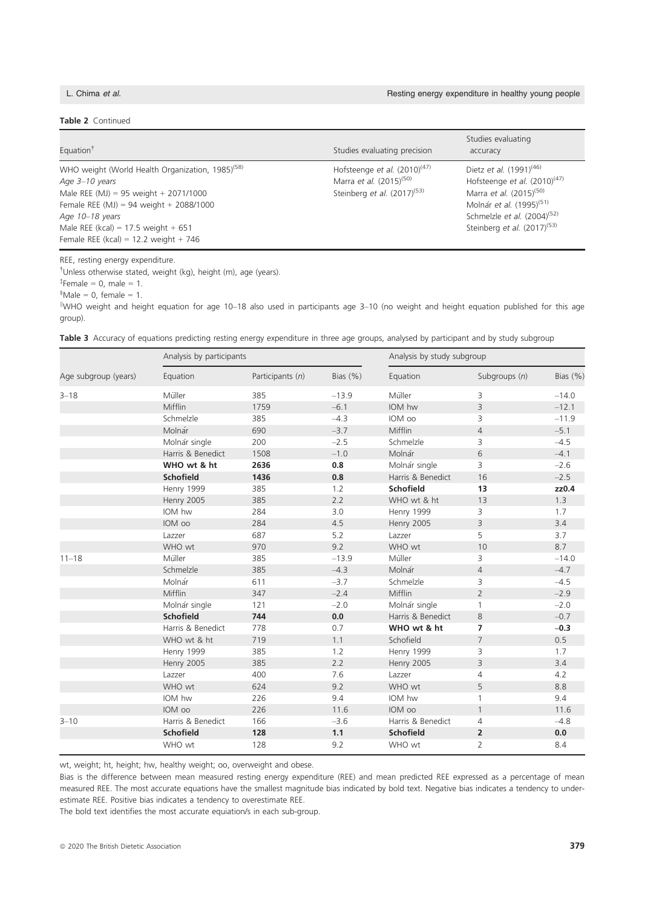### L. Chima et al. **Resting energy expenditure in healthy young people** by the Resting energy expenditure in healthy young people

### Table 2 Continued

| Equation <sup>†</sup>                                                                                                                                                                                                                                                     | Studies evaluating precision                                                                                 | Studies evaluating<br>accuracy                                                                                                                                                                                                  |
|---------------------------------------------------------------------------------------------------------------------------------------------------------------------------------------------------------------------------------------------------------------------------|--------------------------------------------------------------------------------------------------------------|---------------------------------------------------------------------------------------------------------------------------------------------------------------------------------------------------------------------------------|
| WHO weight (World Health Organization, 1985) <sup>(58)</sup><br>Age 3-10 years<br>Male REE (MJ) = 95 weight + 2071/1000<br>Female REE (MJ) = 94 weight + 2088/1000<br>Age 10-18 years<br>Male REE (kcal) = $17.5$ weight + 651<br>Female REE (kcal) = $12.2$ weight + 746 | Hofsteenge et al. $(2010)^{(47)}$<br>Marra et al. (2015) <sup>(50)</sup><br>Steinberg et al. $(2017)^{(53)}$ | Dietz et al. (1991) <sup>(46)</sup><br>Hofsteenge et al. $(2010)^{(47)}$<br>Marra et al. (2015) <sup>(50)</sup><br>Molnár et al. (1995) <sup>(51)</sup><br>Schmelzle et al. $(2004)^{(52)}$<br>Steinberg et al. $(2017)^{(53)}$ |

REE, resting energy expenditure.

† Unless otherwise stated, weight (kg), height (m), age (years).

 $*$ Female = 0, male = 1.

 ${}^{\$}$ Male = 0, female = 1.

k WHO weight and height equation for age 10–18 also used in participants age 3–10 (no weight and height equation published for this age group).

Table 3 Accuracy of equations predicting resting energy expenditure in three age groups, analysed by participant and by study subgroup

|                      | Analysis by participants |                  |             | Analysis by study subgroup |                 |             |
|----------------------|--------------------------|------------------|-------------|----------------------------|-----------------|-------------|
| Age subgroup (years) | Equation                 | Participants (n) | Bias $(\%)$ | Equation                   | Subgroups $(n)$ | Bias $(% )$ |
| $3 - 18$             | Müller                   | 385              | $-13.9$     | Müller                     | 3               | $-14.0$     |
|                      | Mifflin                  | 1759             | $-6.1$      | IOM hw                     | 3               | $-12.1$     |
|                      | Schmelzle                | 385              | $-4.3$      | IOM 00                     | 3               | $-11.9$     |
|                      | Molnár                   | 690              | $-3.7$      | Mifflin                    | $\overline{4}$  | $-5.1$      |
|                      | Molnár single            | 200              | $-2.5$      | Schmelzle                  | 3               | $-4.5$      |
|                      | Harris & Benedict        | 1508             | $-1.0$      | Molnár                     | 6               | $-4.1$      |
|                      | WHO wt & ht              | 2636             | 0.8         | Molnár single              | $\overline{3}$  | $-2.6$      |
|                      | <b>Schofield</b>         | 1436             | 0.8         | Harris & Benedict          | 16              | $-2.5$      |
|                      | <b>Henry 1999</b>        | 385              | 1.2         | <b>Schofield</b>           | 13              | zz0.4       |
|                      | Henry 2005               | 385              | 2.2         | WHO wt & ht                | 13              | 1.3         |
|                      | IOM hw                   | 284              | 3.0         | Henry 1999                 | 3               | 1.7         |
|                      | IOM 00                   | 284              | 4.5         | Henry 2005                 | $\overline{3}$  | 3.4         |
|                      | Lazzer                   | 687              | 5.2         | Lazzer                     | 5               | 3.7         |
|                      | WHO wt                   | 970              | 9.2         | WHO wt                     | 10              | 8.7         |
| $11 - 18$            | Müller                   | 385              | $-13.9$     | Müller                     | 3               | $-14.0$     |
|                      | Schmelzle                | 385              | $-4.3$      | Molnár                     | $\overline{4}$  | $-4.7$      |
|                      | Molnár                   | 611              | $-3.7$      | Schmelzle                  | 3               | $-4.5$      |
|                      | Mifflin                  | 347              | $-2.4$      | Mifflin                    | $\overline{2}$  | $-2.9$      |
|                      | Molnár single            | 121              | $-2.0$      | Molnár single              | 1               | $-2.0$      |
|                      | <b>Schofield</b>         | 744              | 0.0         | Harris & Benedict          | 8               | $-0.7$      |
|                      | Harris & Benedict        | 778              | 0.7         | WHO wt & ht                | $\overline{7}$  | $-0.3$      |
|                      | WHO wt & ht              | 719              | 1.1         | Schofield                  | $\overline{7}$  | 0.5         |
|                      | <b>Henry 1999</b>        | 385              | 1.2         | Henry 1999                 | 3               | 1.7         |
|                      | <b>Henry 2005</b>        | 385              | 2.2         | <b>Henry 2005</b>          | 3               | 3.4         |
|                      | Lazzer                   | 400              | 7.6         | Lazzer                     | $\overline{4}$  | 4.2         |
|                      | WHO wt                   | 624              | 9.2         | WHO wt                     | 5               | 8.8         |
|                      | IOM hw                   | 226              | 9.4         | IOM hw                     | 1               | 9.4         |
|                      | IOM 00                   | 226              | 11.6        | IOM 00                     | $\mathbf{1}$    | 11.6        |
| $3 - 10$             | Harris & Benedict        | 166              | $-3.6$      | Harris & Benedict          | $\overline{4}$  | $-4.8$      |
|                      | <b>Schofield</b>         | 128              | 1.1         | <b>Schofield</b>           | $\overline{2}$  | 0.0         |
|                      | WHO wt                   | 128              | 9.2         | WHO wt                     | $\overline{2}$  | 8.4         |

wt, weight; ht, height; hw, healthy weight; oo, overweight and obese.

Bias is the difference between mean measured resting energy expenditure (REE) and mean predicted REE expressed as a percentage of mean measured REE. The most accurate equations have the smallest magnitude bias indicated by bold text. Negative bias indicates a tendency to underestimate REE. Positive bias indicates a tendency to overestimate REE.

The bold text identifies the most accurate equiation/s in each sub-group.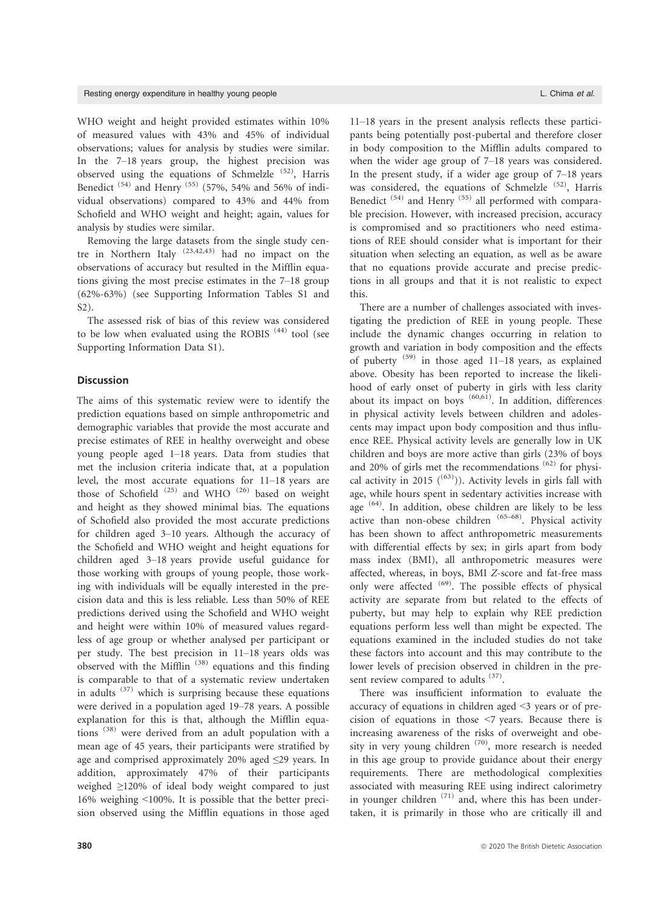WHO weight and height provided estimates within 10% of measured values with 43% and 45% of individual observations; values for analysis by studies were similar. In the 7–18 years group, the highest precision was observed using the equations of Schmelzle (52), Harris Benedict<sup> $(54)$ </sup> and Henry<sup> $(55)$ </sup> (57%, 54% and 56% of individual observations) compared to 43% and 44% from Schofield and WHO weight and height; again, values for analysis by studies were similar.

Removing the large datasets from the single study centre in Northern Italy (23,42,43) had no impact on the observations of accuracy but resulted in the Mifflin equations giving the most precise estimates in the 7–18 group (62%-63%) (see Supporting Information Tables S1 and S2).

The assessed risk of bias of this review was considered to be low when evaluated using the ROBIS<sup>(44)</sup> tool (see Supporting Information Data S1).

### **Discussion**

The aims of this systematic review were to identify the prediction equations based on simple anthropometric and demographic variables that provide the most accurate and precise estimates of REE in healthy overweight and obese young people aged 1–18 years. Data from studies that met the inclusion criteria indicate that, at a population level, the most accurate equations for 11–18 years are those of Schofield  $(25)$  and WHO  $(26)$  based on weight and height as they showed minimal bias. The equations of Schofield also provided the most accurate predictions for children aged 3–10 years. Although the accuracy of the Schofield and WHO weight and height equations for children aged 3–18 years provide useful guidance for those working with groups of young people, those working with individuals will be equally interested in the precision data and this is less reliable. Less than 50% of REE predictions derived using the Schofield and WHO weight and height were within 10% of measured values regardless of age group or whether analysed per participant or per study. The best precision in 11–18 years olds was observed with the Mifflin  $(38)$  equations and this finding is comparable to that of a systematic review undertaken in adults  $(37)$  which is surprising because these equations were derived in a population aged 19–78 years. A possible explanation for this is that, although the Mifflin equations (38) were derived from an adult population with a mean age of 45 years, their participants were stratified by age and comprised approximately 20% aged ≤29 years. In addition, approximately 47% of their participants weighed ≥120% of ideal body weight compared to just 16% weighing <100%. It is possible that the better precision observed using the Mifflin equations in those aged

11–18 years in the present analysis reflects these participants being potentially post-pubertal and therefore closer in body composition to the Mifflin adults compared to when the wider age group of 7–18 years was considered. In the present study, if a wider age group of 7–18 years was considered, the equations of Schmelzle  $(52)$ , Harris Benedict<sup> $(54)$ </sup> and Henry<sup> $(55)$ </sup> all performed with comparable precision. However, with increased precision, accuracy is compromised and so practitioners who need estimations of REE should consider what is important for their situation when selecting an equation, as well as be aware that no equations provide accurate and precise predictions in all groups and that it is not realistic to expect this.

There are a number of challenges associated with investigating the prediction of REE in young people. These include the dynamic changes occurring in relation to growth and variation in body composition and the effects of puberty  $(59)$  in those aged 11–18 years, as explained above. Obesity has been reported to increase the likelihood of early onset of puberty in girls with less clarity about its impact on boys  $^{(60,61)}$ . In addition, differences in physical activity levels between children and adolescents may impact upon body composition and thus influence REE. Physical activity levels are generally low in UK children and boys are more active than girls (23% of boys and 20% of girls met the recommendations  $(62)$  for physical activity in 2015 ( $^{(63)}$ )). Activity levels in girls fall with age, while hours spent in sedentary activities increase with age <sup>(64)</sup>. In addition, obese children are likely to be less active than non-obese children (65–68). Physical activity has been shown to affect anthropometric measurements with differential effects by sex; in girls apart from body mass index (BMI), all anthropometric measures were affected, whereas, in boys, BMI Z-score and fat-free mass only were affected  $(69)$ . The possible effects of physical activity are separate from but related to the effects of puberty, but may help to explain why REE prediction equations perform less well than might be expected. The equations examined in the included studies do not take these factors into account and this may contribute to the lower levels of precision observed in children in the present review compared to adults <sup>(37)</sup>.

There was insufficient information to evaluate the accuracy of equations in children aged <3 years or of precision of equations in those <7 years. Because there is increasing awareness of the risks of overweight and obesity in very young children  $(70)$ , more research is needed in this age group to provide guidance about their energy requirements. There are methodological complexities associated with measuring REE using indirect calorimetry in younger children  $(71)$  and, where this has been undertaken, it is primarily in those who are critically ill and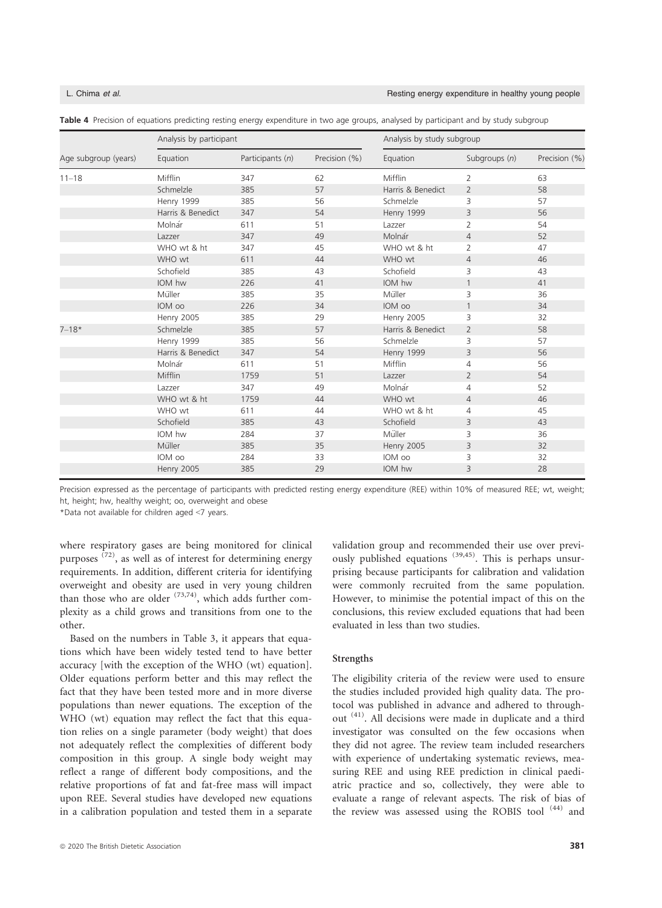|                      | Analysis by participant |                  |               | Analysis by study subgroup |                 |               |
|----------------------|-------------------------|------------------|---------------|----------------------------|-----------------|---------------|
| Age subgroup (years) | Equation                | Participants (n) | Precision (%) | Equation                   | Subgroups $(n)$ | Precision (%) |
| $11 - 18$            | Mifflin                 | 347              | 62            | Mifflin                    | 2               | 63            |
|                      | Schmelzle               | 385              | 57            | Harris & Benedict          | $\overline{2}$  | 58            |
|                      | Henry 1999              | 385              | 56            | Schmelzle                  | 3               | 57            |
|                      | Harris & Benedict       | 347              | 54            | Henry 1999                 | 3               | 56            |
|                      | Molnár                  | 611              | 51            | Lazzer                     | $\overline{2}$  | 54            |
|                      | Lazzer                  | 347              | 49            | Molnár                     | $\overline{4}$  | 52            |
|                      | WHO wt & ht             | 347              | 45            | WHO wt & ht                | 2               | 47            |
|                      | WHO wt                  | 611              | 44            | WHO wt                     | $\overline{4}$  | 46            |
|                      | Schofield               | 385              | 43            | Schofield                  | 3               | 43            |
|                      | IOM hw                  | 226              | 41            | IOM hw                     | $\mathbf{1}$    | 41            |
|                      | Müller                  | 385              | 35            | Müller                     | 3               | 36            |
|                      | IOM 00                  | 226              | 34            | IOM 00                     | $\mathbf{1}$    | 34            |
|                      | Henry 2005              | 385              | 29            | <b>Henry 2005</b>          | 3               | 32            |
| $7 - 18*$            | Schmelzle               | 385              | 57            | Harris & Benedict          | $\overline{2}$  | 58            |
|                      | Henry 1999              | 385              | 56            | Schmelzle                  | 3               | 57            |
|                      | Harris & Benedict       | 347              | 54            | <b>Henry 1999</b>          | 3               | 56            |
|                      | Molnár                  | 611              | 51            | Mifflin                    | 4               | 56            |
|                      | Mifflin                 | 1759             | 51            | Lazzer                     | $\overline{2}$  | 54            |
|                      | Lazzer                  | 347              | 49            | Molnár                     | 4               | 52            |
|                      | WHO wt & ht             | 1759             | 44            | WHO wt                     | $\overline{4}$  | 46            |
|                      | WHO wt                  | 611              | 44            | WHO wt & ht                | 4               | 45            |
|                      | Schofield               | 385              | 43            | Schofield                  | 3               | 43            |
|                      | IOM hw                  | 284              | 37            | Müller                     | 3               | 36            |
|                      | Müller                  | 385              | 35            | <b>Henry 2005</b>          | 3               | 32            |
|                      | IOM 00                  | 284              | 33            | IOM 00                     | 3               | 32            |
|                      | <b>Henry 2005</b>       | 385              | 29            | IOM hw                     | 3               | 28            |
|                      |                         |                  |               |                            |                 |               |

Table 4 Precision of equations predicting resting energy expenditure in two age groups, analysed by participant and by study subgroup

Precision expressed as the percentage of participants with predicted resting energy expenditure (REE) within 10% of measured REE; wt, weight; ht, height; hw, healthy weight; oo, overweight and obese

\*Data not available for children aged <7 years.

where respiratory gases are being monitored for clinical purposes  $(72)$ , as well as of interest for determining energy requirements. In addition, different criteria for identifying overweight and obesity are used in very young children than those who are older  $(73,74)$ , which adds further complexity as a child grows and transitions from one to the other.

Based on the numbers in Table 3, it appears that equations which have been widely tested tend to have better accuracy [with the exception of the WHO (wt) equation]. Older equations perform better and this may reflect the fact that they have been tested more and in more diverse populations than newer equations. The exception of the WHO (wt) equation may reflect the fact that this equation relies on a single parameter (body weight) that does not adequately reflect the complexities of different body composition in this group. A single body weight may reflect a range of different body compositions, and the relative proportions of fat and fat-free mass will impact upon REE. Several studies have developed new equations in a calibration population and tested them in a separate

validation group and recommended their use over previously published equations <sup>(39,45)</sup>. This is perhaps unsurprising because participants for calibration and validation were commonly recruited from the same population. However, to minimise the potential impact of this on the conclusions, this review excluded equations that had been evaluated in less than two studies.

#### Strengths

The eligibility criteria of the review were used to ensure the studies included provided high quality data. The protocol was published in advance and adhered to throughout (41). All decisions were made in duplicate and a third investigator was consulted on the few occasions when they did not agree. The review team included researchers with experience of undertaking systematic reviews, measuring REE and using REE prediction in clinical paediatric practice and so, collectively, they were able to evaluate a range of relevant aspects. The risk of bias of the review was assessed using the ROBIS tool  $(44)$  and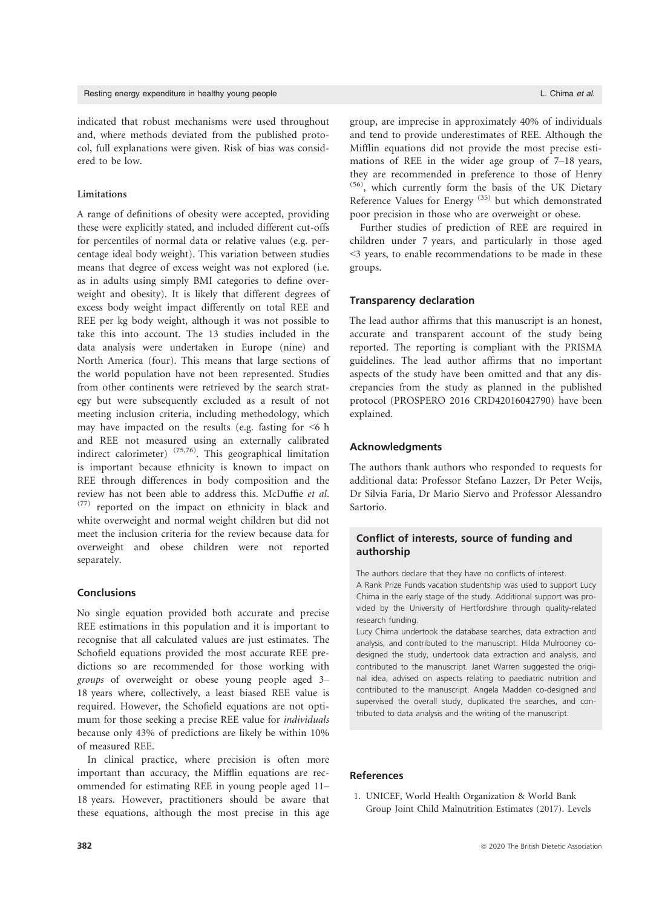indicated that robust mechanisms were used throughout and, where methods deviated from the published protocol, full explanations were given. Risk of bias was considered to be low.

### Limitations

A range of definitions of obesity were accepted, providing these were explicitly stated, and included different cut-offs for percentiles of normal data or relative values (e.g. percentage ideal body weight). This variation between studies means that degree of excess weight was not explored (i.e. as in adults using simply BMI categories to define overweight and obesity). It is likely that different degrees of excess body weight impact differently on total REE and REE per kg body weight, although it was not possible to take this into account. The 13 studies included in the data analysis were undertaken in Europe (nine) and North America (four). This means that large sections of the world population have not been represented. Studies from other continents were retrieved by the search strategy but were subsequently excluded as a result of not meeting inclusion criteria, including methodology, which may have impacted on the results (e.g. fasting for  $\leq 6$  h and REE not measured using an externally calibrated indirect calorimeter) (75,76). This geographical limitation is important because ethnicity is known to impact on REE through differences in body composition and the review has not been able to address this. McDuffie et al. (77) reported on the impact on ethnicity in black and white overweight and normal weight children but did not meet the inclusion criteria for the review because data for overweight and obese children were not reported separately.

### Conclusions

No single equation provided both accurate and precise REE estimations in this population and it is important to recognise that all calculated values are just estimates. The Schofield equations provided the most accurate REE predictions so are recommended for those working with groups of overweight or obese young people aged 3– 18 years where, collectively, a least biased REE value is required. However, the Schofield equations are not optimum for those seeking a precise REE value for individuals because only 43% of predictions are likely be within 10% of measured REE.

In clinical practice, where precision is often more important than accuracy, the Mifflin equations are recommended for estimating REE in young people aged 11– 18 years. However, practitioners should be aware that these equations, although the most precise in this age group, are imprecise in approximately 40% of individuals and tend to provide underestimates of REE. Although the Mifflin equations did not provide the most precise estimations of REE in the wider age group of 7–18 years, they are recommended in preference to those of Henry (56), which currently form the basis of the UK Dietary Reference Values for Energy (35) but which demonstrated poor precision in those who are overweight or obese.

Further studies of prediction of REE are required in children under 7 years, and particularly in those aged <3 years, to enable recommendations to be made in these groups.

# Transparency declaration

The lead author affirms that this manuscript is an honest, accurate and transparent account of the study being reported. The reporting is compliant with the PRISMA guidelines. The lead author affirms that no important aspects of the study have been omitted and that any discrepancies from the study as planned in the published protocol (PROSPERO 2016 CRD42016042790) have been explained.

### Acknowledgments

The authors thank authors who responded to requests for additional data: Professor Stefano Lazzer, Dr Peter Weijs, Dr Silvia Faria, Dr Mario Siervo and Professor Alessandro Sartorio.

# Conflict of interests, source of funding and authorship

The authors declare that they have no conflicts of interest. A Rank Prize Funds vacation studentship was used to support Lucy Chima in the early stage of the study. Additional support was provided by the University of Hertfordshire through quality-related research funding.

Lucy Chima undertook the database searches, data extraction and analysis, and contributed to the manuscript. Hilda Mulrooney codesigned the study, undertook data extraction and analysis, and contributed to the manuscript. Janet Warren suggested the original idea, advised on aspects relating to paediatric nutrition and contributed to the manuscript. Angela Madden co-designed and supervised the overall study, duplicated the searches, and contributed to data analysis and the writing of the manuscript.

# References

1. UNICEF, World Health Organization & World Bank Group Joint Child Malnutrition Estimates (2017). Levels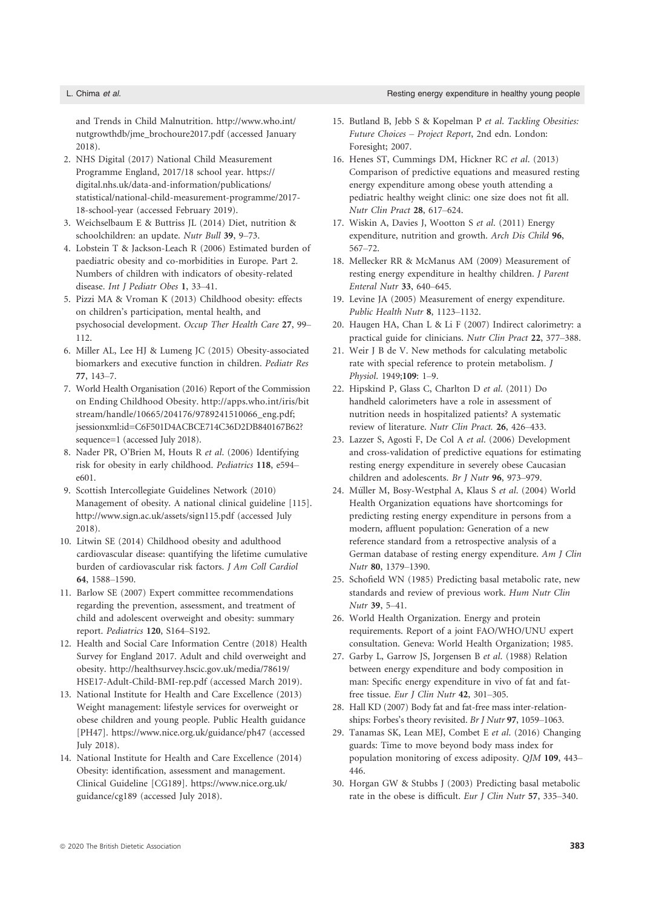and Trends in Child Malnutrition. http://www.who.int/ nutgrowthdb/jme\_brochoure2017.pdf (accessed January 2018).

- 2. NHS Digital (2017) National Child Measurement Programme England, 2017/18 school year. https:// digital.nhs.uk/data-and-information/publications/ statistical/national-child-measurement-programme/2017- 18-school-year (accessed February 2019).
- 3. Weichselbaum E & Buttriss JL (2014) Diet, nutrition & schoolchildren: an update. Nutr Bull 39, 9–73.
- 4. Lobstein T & Jackson-Leach R (2006) Estimated burden of paediatric obesity and co-morbidities in Europe. Part 2. Numbers of children with indicators of obesity-related disease. Int J Pediatr Obes 1, 33–41.
- 5. Pizzi MA & Vroman K (2013) Childhood obesity: effects on children's participation, mental health, and psychosocial development. Occup Ther Health Care 27, 99– 112.
- 6. Miller AL, Lee HJ & Lumeng JC (2015) Obesity-associated biomarkers and executive function in children. Pediatr Res 77, 143–7.
- 7. World Health Organisation (2016) Report of the Commission on Ending Childhood Obesity. http://apps.who.int/iris/bit stream/handle/10665/204176/9789241510066\_eng.pdf; jsessionxml:id=C6F501D4ACBCE714C36D2DB840167B62? sequence=1 (accessed July 2018).
- 8. Nader PR, O'Brien M, Houts R et al. (2006) Identifying risk for obesity in early childhood. Pediatrics 118, e594– e601.
- 9. Scottish Intercollegiate Guidelines Network (2010) Management of obesity. A national clinical guideline [115]. http://www.sign.ac.uk/assets/sign115.pdf (accessed July 2018).
- 10. Litwin SE (2014) Childhood obesity and adulthood cardiovascular disease: quantifying the lifetime cumulative burden of cardiovascular risk factors. J Am Coll Cardiol 64, 1588–1590.
- 11. Barlow SE (2007) Expert committee recommendations regarding the prevention, assessment, and treatment of child and adolescent overweight and obesity: summary report. Pediatrics 120, S164–S192.
- 12. Health and Social Care Information Centre (2018) Health Survey for England 2017. Adult and child overweight and obesity. http://healthsurvey.hscic.gov.uk/media/78619/ HSE17-Adult-Child-BMI-rep.pdf (accessed March 2019).
- 13. National Institute for Health and Care Excellence (2013) Weight management: lifestyle services for overweight or obese children and young people. Public Health guidance [PH47]. https://www.nice.org.uk/guidance/ph47 (accessed July 2018).
- 14. National Institute for Health and Care Excellence (2014) Obesity: identification, assessment and management. Clinical Guideline [CG189]. https://www.nice.org.uk/ guidance/cg189 (accessed July 2018).
- 15. Butland B, Jebb S & Kopelman P et al. Tackling Obesities: Future Choices – Project Report, 2nd edn. London: Foresight; 2007.
- 16. Henes ST, Cummings DM, Hickner RC et al. (2013) Comparison of predictive equations and measured resting energy expenditure among obese youth attending a pediatric healthy weight clinic: one size does not fit all. Nutr Clin Pract 28, 617–624.
- 17. Wiskin A, Davies J, Wootton S et al. (2011) Energy expenditure, nutrition and growth. Arch Dis Child 96, 567–72.
- 18. Mellecker RR & McManus AM (2009) Measurement of resting energy expenditure in healthy children. J Parent Enteral Nutr 33, 640–645.
- 19. Levine JA (2005) Measurement of energy expenditure. Public Health Nutr 8, 1123–1132.
- 20. Haugen HA, Chan L & Li F (2007) Indirect calorimetry: a practical guide for clinicians. Nutr Clin Pract 22, 377–388.
- 21. Weir J B de V. New methods for calculating metabolic rate with special reference to protein metabolism. J Physiol. 1949;109: 1–9.
- 22. Hipskind P, Glass C, Charlton D et al. (2011) Do handheld calorimeters have a role in assessment of nutrition needs in hospitalized patients? A systematic review of literature. Nutr Clin Pract. 26, 426–433.
- 23. Lazzer S, Agosti F, De Col A et al. (2006) Development and cross-validation of predictive equations for estimating resting energy expenditure in severely obese Caucasian children and adolescents. Br J Nutr 96, 973–979.
- 24. Müller M, Bosy-Westphal A, Klaus S et al. (2004) World Health Organization equations have shortcomings for predicting resting energy expenditure in persons from a modern, affluent population: Generation of a new reference standard from a retrospective analysis of a German database of resting energy expenditure. Am J Clin Nutr 80, 1379–1390.
- 25. Schofield WN (1985) Predicting basal metabolic rate, new standards and review of previous work. Hum Nutr Clin Nutr 39, 5–41.
- 26. World Health Organization. Energy and protein requirements. Report of a joint FAO/WHO/UNU expert consultation. Geneva: World Health Organization; 1985.
- 27. Garby L, Garrow JS, Jorgensen B et al. (1988) Relation between energy expenditure and body composition in man: Specific energy expenditure in vivo of fat and fatfree tissue. Eur J Clin Nutr 42, 301-305.
- 28. Hall KD (2007) Body fat and fat-free mass inter-relationships: Forbes's theory revisited. Br J Nutr 97, 1059-1063.
- 29. Tanamas SK, Lean MEJ, Combet E et al. (2016) Changing guards: Time to move beyond body mass index for population monitoring of excess adiposity. QJM 109, 443– 446.
- 30. Horgan GW & Stubbs J (2003) Predicting basal metabolic rate in the obese is difficult. Eur J Clin Nutr 57, 335–340.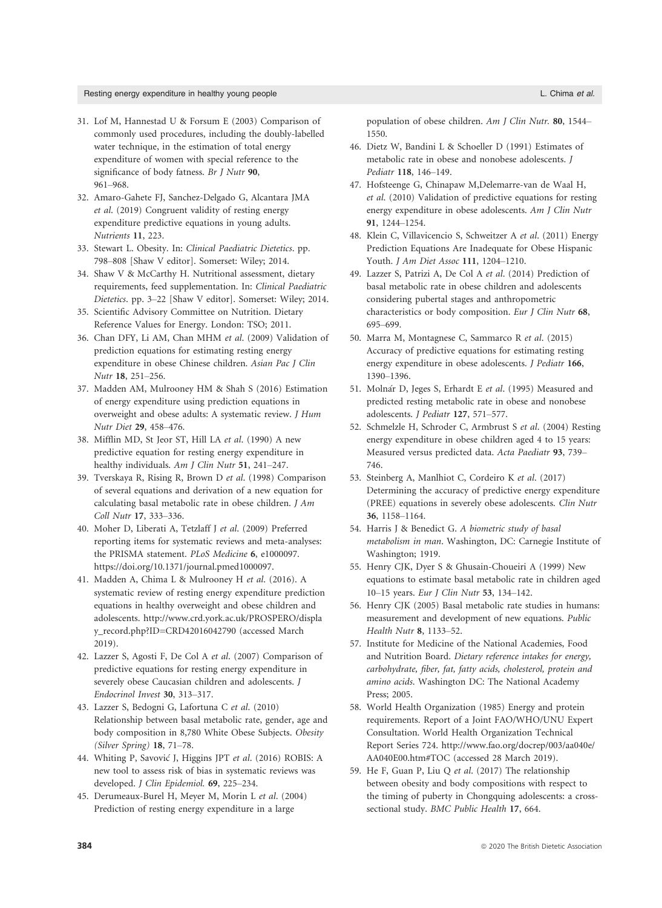#### Resting energy expenditure in healthy young people **Example 2018** China et al. Chima et al.

- 31. Lof M, Hannestad U & Forsum E (2003) Comparison of commonly used procedures, including the doubly-labelled water technique, in the estimation of total energy expenditure of women with special reference to the significance of body fatness. Br J Nutr 90, 961–968.
- 32. Amaro-Gahete FJ, Sanchez-Delgado G, Alcantara JMA et al. (2019) Congruent validity of resting energy expenditure predictive equations in young adults. Nutrients 11, 223.
- 33. Stewart L. Obesity. In: Clinical Paediatric Dietetics. pp. 798–808 [Shaw V editor]. Somerset: Wiley; 2014.
- 34. Shaw V & McCarthy H. Nutritional assessment, dietary requirements, feed supplementation. In: Clinical Paediatric Dietetics. pp. 3–22 [Shaw V editor]. Somerset: Wiley; 2014.
- 35. Scientific Advisory Committee on Nutrition. Dietary Reference Values for Energy. London: TSO; 2011.
- 36. Chan DFY, Li AM, Chan MHM et al. (2009) Validation of prediction equations for estimating resting energy expenditure in obese Chinese children. Asian Pac J Clin Nutr 18, 251–256.
- 37. Madden AM, Mulrooney HM & Shah S (2016) Estimation of energy expenditure using prediction equations in overweight and obese adults: A systematic review. J Hum Nutr Diet 29, 458–476.
- 38. Mifflin MD, St Jeor ST, Hill LA et al. (1990) A new predictive equation for resting energy expenditure in healthy individuals. Am J Clin Nutr 51, 241-247.
- 39. Tverskaya R, Rising R, Brown D et al. (1998) Comparison of several equations and derivation of a new equation for calculating basal metabolic rate in obese children. J Am Coll Nutr 17, 333–336.
- 40. Moher D, Liberati A, Tetzlaff J et al. (2009) Preferred reporting items for systematic reviews and meta-analyses: the PRISMA statement. PLoS Medicine 6, e1000097. <https://doi.org/10.1371/journal.pmed1000097>.
- 41. Madden A, Chima L & Mulrooney H et al. (2016). A systematic review of resting energy expenditure prediction equations in healthy overweight and obese children and adolescents. [http://www.crd.york.ac.uk/PROSPERO/displa](http://www.crd.york.ac.uk/PROSPERO/display_record.php?ID=CRD42016042790) [y\\_record.php?ID=CRD42016042790](http://www.crd.york.ac.uk/PROSPERO/display_record.php?ID=CRD42016042790) (accessed March 2019).
- 42. Lazzer S, Agosti F, De Col A et al. (2007) Comparison of predictive equations for resting energy expenditure in severely obese Caucasian children and adolescents. J Endocrinol Invest 30, 313–317.
- 43. Lazzer S, Bedogni G, Lafortuna C et al. (2010) Relationship between basal metabolic rate, gender, age and body composition in 8,780 White Obese Subjects. Obesity (Silver Spring) 18, 71–78.
- 44. Whiting P, Savovic J, Higgins JPT et al. (2016) ROBIS: A new tool to assess risk of bias in systematic reviews was developed. J Clin Epidemiol. 69, 225–234.
- 45. Derumeaux-Burel H, Meyer M, Morin L et al. (2004) Prediction of resting energy expenditure in a large

population of obese children. Am J Clin Nutr. 80, 1544– 1550.

- 46. Dietz W, Bandini L & Schoeller D (1991) Estimates of metabolic rate in obese and nonobese adolescents. J Pediatr 118, 146–149.
- 47. Hofsteenge G, Chinapaw M,Delemarre-van de Waal H, et al. (2010) Validation of predictive equations for resting energy expenditure in obese adolescents. Am J Clin Nutr 91, 1244–1254.
- 48. Klein C, Villavicencio S, Schweitzer A et al. (2011) Energy Prediction Equations Are Inadequate for Obese Hispanic Youth. J Am Diet Assoc 111, 1204–1210.
- 49. Lazzer S, Patrizi A, De Col A et al. (2014) Prediction of basal metabolic rate in obese children and adolescents considering pubertal stages and anthropometric characteristics or body composition. Eur J Clin Nutr 68, 695–699.
- 50. Marra M, Montagnese C, Sammarco R et al. (2015) Accuracy of predictive equations for estimating resting energy expenditure in obese adolescents. J Pediatr 166, 1390–1396.
- 51. Molnár D, Jeges S, Erhardt E et al. (1995) Measured and predicted resting metabolic rate in obese and nonobese adolescents. J Pediatr 127, 571–577.
- 52. Schmelzle H, Schroder C, Armbrust S et al. (2004) Resting energy expenditure in obese children aged 4 to 15 years: Measured versus predicted data. Acta Paediatr 93, 739– 746.
- 53. Steinberg A, Manlhiot C, Cordeiro K et al. (2017) Determining the accuracy of predictive energy expenditure (PREE) equations in severely obese adolescents. Clin Nutr 36, 1158–1164.
- 54. Harris J & Benedict G. A biometric study of basal metabolism in man. Washington, DC: Carnegie Institute of Washington; 1919.
- 55. Henry CJK, Dyer S & Ghusain-Choueiri A (1999) New equations to estimate basal metabolic rate in children aged 10–15 years. Eur J Clin Nutr 53, 134–142.
- 56. Henry CJK (2005) Basal metabolic rate studies in humans: measurement and development of new equations. Public Health Nutr 8, 1133–52.
- 57. Institute for Medicine of the National Academies, Food and Nutrition Board. Dietary reference intakes for energy, carbohydrate, fiber, fat, fatty acids, cholesterol, protein and amino acids. Washington DC: The National Academy Press; 2005.
- 58. World Health Organization (1985) Energy and protein requirements. Report of a Joint FAO/WHO/UNU Expert Consultation. World Health Organization Technical Report Series 724. http://www.fao.org/docrep/003/aa040e/ AA040E00.htm#TOC (accessed 28 March 2019).
- 59. He F, Guan P, Liu Q et al. (2017) The relationship between obesity and body compositions with respect to the timing of puberty in Chongquing adolescents: a crosssectional study. BMC Public Health 17, 664.